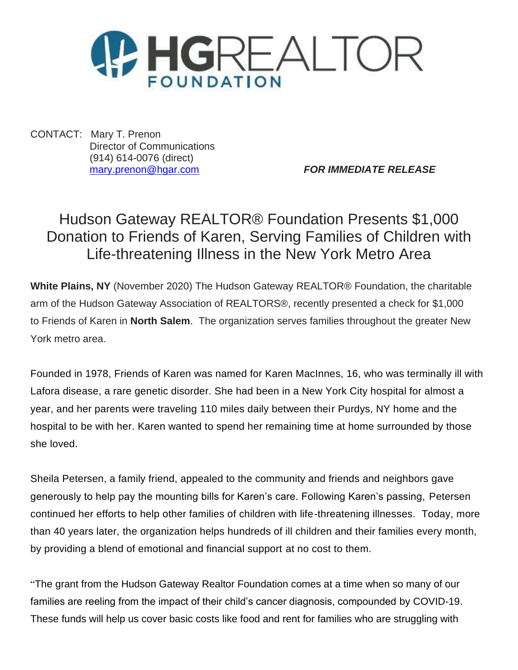

CONTACT: Mary T. Prenon Director of Communications (914) 614-0076 (direct)

[mary.prenon@hgar.com](mailto:mary.prenon@hgar.com) *FOR IMMEDIATE RELEASE*

## Hudson Gateway REALTOR® Foundation Presents \$1,000 Donation to Friends of Karen, Serving Families of Children with Life-threatening Illness in the New York Metro Area

**White Plains, NY** (November 2020) The Hudson Gateway REALTOR® Foundation, the charitable arm of the Hudson Gateway Association of REALTORS®, recently presented a check for \$1,000 to Friends of Karen in **North Salem**. The organization serves families throughout the greater New York metro area.

Founded in 1978, Friends of Karen was named for Karen MacInnes, 16, who was terminally ill with Lafora disease, a rare genetic disorder. She had been in a New York City hospital for almost a year, and her parents were traveling 110 miles daily between their Purdys, NY home and the hospital to be with her. Karen wanted to spend her remaining time at home surrounded by those she loved.

Sheila Petersen, a family friend, appealed to the community and friends and neighbors gave generously to help pay the mounting bills for Karen's care. Following Karen's passing, Petersen continued her efforts to help other families of children with life-threatening illnesses. Today, more than 40 years later, the organization helps hundreds of ill children and their families every month, by providing a blend of emotional and financial support at no cost to them.

"The grant from the Hudson Gateway Realtor Foundation comes at a time when so many of our families are reeling from the impact of their child's cancer diagnosis, compounded by COVID-19. These funds will help us cover basic costs like food and rent for families who are struggling with